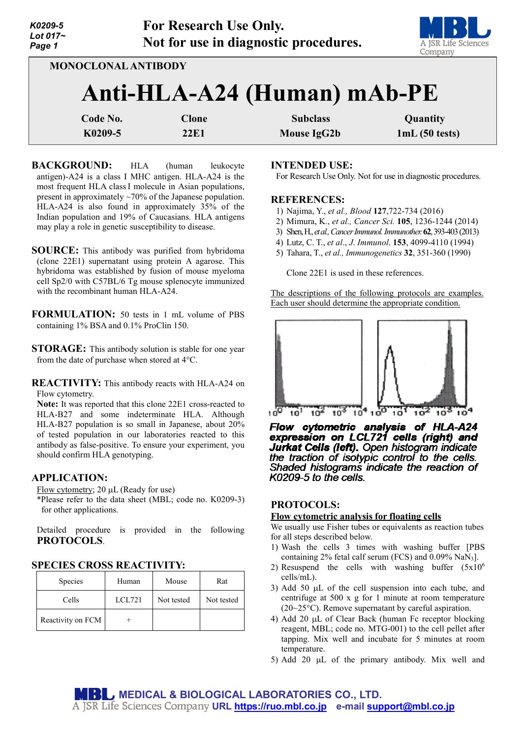| K0209-5    |
|------------|
| Lot $017-$ |
| Page 1     |



**MONOCLONAL ANTIBODY**

# **Anti-HLA-A24 (Human) mAb-PE**

| Code No. | Clone | <b>Subclass</b> | Quantity      |
|----------|-------|-----------------|---------------|
| K0209-5  | 22E1  | Mouse IgG2b     | 1mL(50 tests) |

**BACKGROUND:** HLA (human leukocyte antigen)-A24 is a class I MHC antigen. HLA-A24 is the most frequent HLA classI molecule in Asian populations, present in approximately ~70% of the Japanese population. HLA-A24 is also found in approximately 35% of the Indian population and 19% of Caucasians. HLA antigens may play a role in genetic susceptibility to disease.

- **SOURCE:** This antibody was purified from hybridoma (clone 22E1) supernatant using protein A agarose. This hybridoma was established by fusion of mouse myeloma cell Sp2/0 with C57BL/6 Tg mouse splenocyte immunized with the recombinant human HLA-A24.
- **FORMULATION:** 50 tests in 1 mL volume of PBS containing 1% BSA and 0.1% ProClin 150.
- **STORAGE:** This antibody solution is stable for one year from the date of purchase when stored at 4°C.

**REACTIVITY:** This antibody reacts with HLA-A24 on Flow cytometry.

**Note:** It was reported that this clone 22E1 cross-reacted to HLA-B27 and some indeterminate HLA. Although HLA-B27 population is so small in Japanese, about 20% of tested population in our laboratories reacted to this antibody as false-positive. To ensure your experiment, you should confirm HLA genotyping.

# **APPLICATION:**

Flow cytometry; 20 µL (Ready for use)

\*Please refer to the data sheet (MBL; code no. K0209-3) for other applications.

Detailed procedure is provided in the following **PROTOCOLS**.

## **SPECIES CROSS REACTIVITY:**

| <b>Species</b>    | Human  | Mouse      | Rat        |
|-------------------|--------|------------|------------|
| Cells             | LCL721 | Not tested | Not tested |
| Reactivity on FCM |        |            |            |

## **INTENDED USE:**

For Research Use Only. Not for use in diagnostic procedures.

#### **REFERENCES:**

- 1) Najima, Y., *et al., Blood* **127**,722-734 (2016)
- 2) Mimura, K., *et al., Cancer Sci.* **105**, 1236-1244 (2014)
- 3) Shen, H., *et al., Cancer Immunol. Immunother.***62**, 393-403 (2013)
- 4) Lutz, C. T., *et al*., *J*. *Immunol*. **153**, 4099-4110 (1994)
- 5) Tahara, T., *et al., Immunogenetics* **32**, 351-360 (1990)

Clone 22E1 is used in these references.

The descriptions of the following protocols are examples. Each user should determine the appropriate condition.



Flow cytometric analysis of HLA-A24<br>expression on LCL721 cells (right) and Jurkat Cells (left). Open histogram indicate the traction of isotypic control to the cells. Shaded histograms indicate the reaction of K0209-5 to the cells.

## **PROTOCOLS:**

#### **Flow cytometric analysis for floating cells**

We usually use Fisher tubes or equivalents as reaction tubes for all steps described below.

- 1) Wash the cells 3 times with washing buffer [PBS containing 2% fetal calf serum (FCS) and 0.09% NaN3].
- 2) Resuspend the cells with washing buffer  $(5x10^6)$ cells/mL).
- 3) Add 50 µL of the cell suspension into each tube, and centrifuge at 500 x g for 1 minute at room temperature (20~25°C). Remove supernatant by careful aspiration.
- 4) Add 20 µL of Clear Back (human Fc receptor blocking reagent, MBL; code no. MTG-001) to the cell pellet after tapping. Mix well and incubate for 5 minutes at room temperature.
- 5) Add 20 µL of the primary antibody. Mix well and